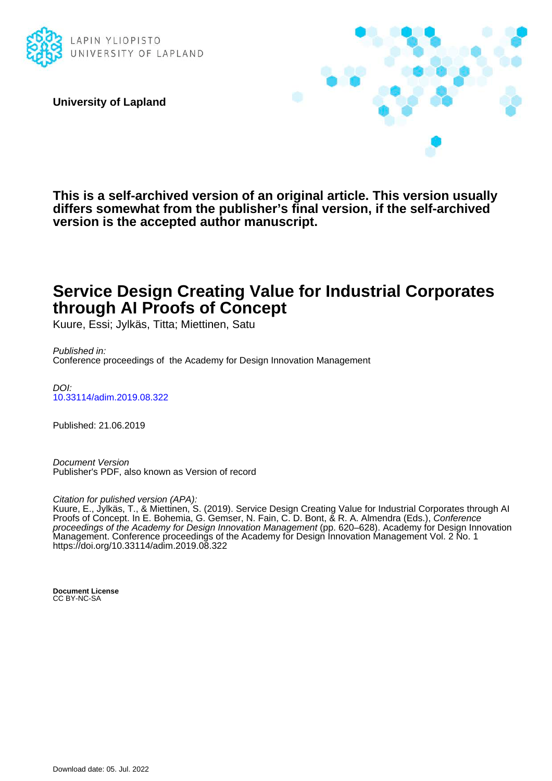

**University of Lapland**



**This is a self-archived version of an original article. This version usually differs somewhat from the publisher's final version, if the self-archived version is the accepted author manuscript.**

## **Service Design Creating Value for Industrial Corporates through AI Proofs of Concept**

Kuure, Essi; Jylkäs, Titta; Miettinen, Satu

Published in: Conference proceedings of the Academy for Design Innovation Management

DOI: [10.33114/adim.2019.08.322](https://doi.org/10.33114/adim.2019.08.322)

Published: 21.06.2019

Document Version Publisher's PDF, also known as Version of record

Citation for pulished version (APA):

Kuure, E., Jylkäs, T., & Miettinen, S. (2019). Service Design Creating Value for Industrial Corporates through AI Proofs of Concept. In E. Bohemia, G. Gemser, N. Fain, C. D. Bont, & R. A. Almendra (Eds.), Conference proceedings of the Academy for Design Innovation Management (pp. 620–628). Academy for Design Innovation Management. Conference proceedings of the Academy for Design Innovation Management Vol. 2 No. 1 <https://doi.org/10.33114/adim.2019.08.322>

**Document License** CC BY-NC-SA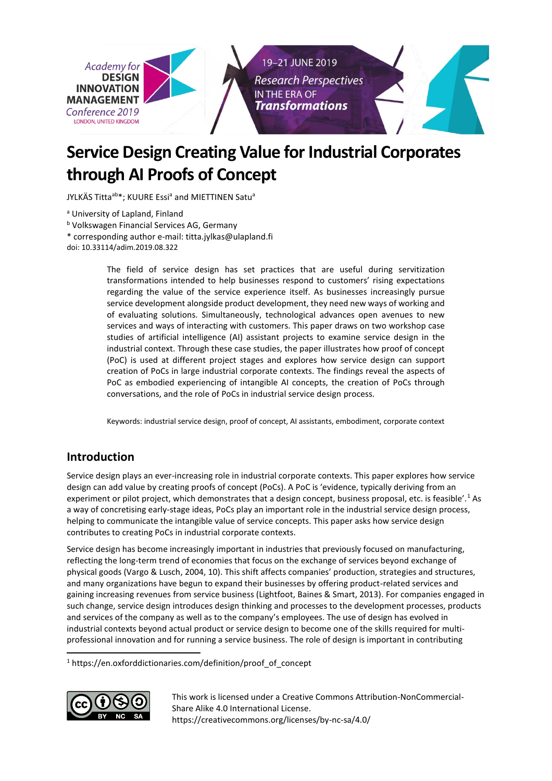

# **Service Design Creating Value for Industrial Corporates through AI Proofs of Concept**

JYLKÄS Titta<sup>ab\*</sup>; KUURE Essi<sup>a</sup> and MIETTINEN Satu<sup>a</sup>

a University of Lapland, Finland

**b Volkswagen Financial Services AG, Germany** 

\* corresponding author e-mail: titta.jylkas@ulapland.fi

doi: 10.33114/adim.2019.08.322

The field of service design has set practices that are useful during servitization transformations intended to help businesses respond to customers' rising expectations regarding the value of the service experience itself. As businesses increasingly pursue service development alongside product development, they need new ways of working and of evaluating solutions. Simultaneously, technological advances open avenues to new services and ways of interacting with customers. This paper draws on two workshop case studies of artificial intelligence (AI) assistant projects to examine service design in the industrial context. Through these case studies, the paper illustrates how proof of concept (PoC) is used at different project stages and explores how service design can support creation of PoCs in large industrial corporate contexts. The findings reveal the aspects of PoC as embodied experiencing of intangible AI concepts, the creation of PoCs through conversations, and the role of PoCs in industrial service design process.

Keywords: industrial service design, proof of concept, AI assistants, embodiment, corporate context

## **Introduction**

Service design plays an ever-increasing role in industrial corporate contexts. This paper explores how service design can add value by creating proofs of concept (PoCs). A PoC is 'evidence, typically deriving from an experiment or pilot project, which demonstrates that a design concept, business proposal, etc. is feasible'.<sup>1</sup> As a way of concretising early-stage ideas, PoCs play an important role in the industrial service design process, helping to communicate the intangible value of service concepts. This paper asks how service design contributes to creating PoCs in industrial corporate contexts.

Service design has become increasingly important in industries that previously focused on manufacturing, reflecting the long-term trend of economies that focus on the exchange of services beyond exchange of physical goods (Vargo & Lusch, 2004, 10). This shift affects companies' production, strategies and structures, and many organizations have begun to expand their businesses by offering product-related services and gaining increasing revenues from service business (Lightfoot, Baines & Smart, 2013). For companies engaged in such change, service design introduces design thinking and processes to the development processes, products and services of the company as well as to the company's employees. The use of design has evolved in industrial contexts beyond actual product or service design to become one of the skills required for multiprofessional innovation and for running a service business. The role of design is important in contributing

<sup>1</sup> https://en.oxforddictionaries.com/definition/proof\_of\_concept



 $\overline{a}$ 

This work is licensed under a [Creative Commons Attribution-NonCommercial-](http://creativecommons.org/licenses/by-nc-sa/4.0/)[Share Alike 4.0 International License.](http://creativecommons.org/licenses/by-nc-sa/4.0/) <https://creativecommons.org/licenses/by-nc-sa/4.0/>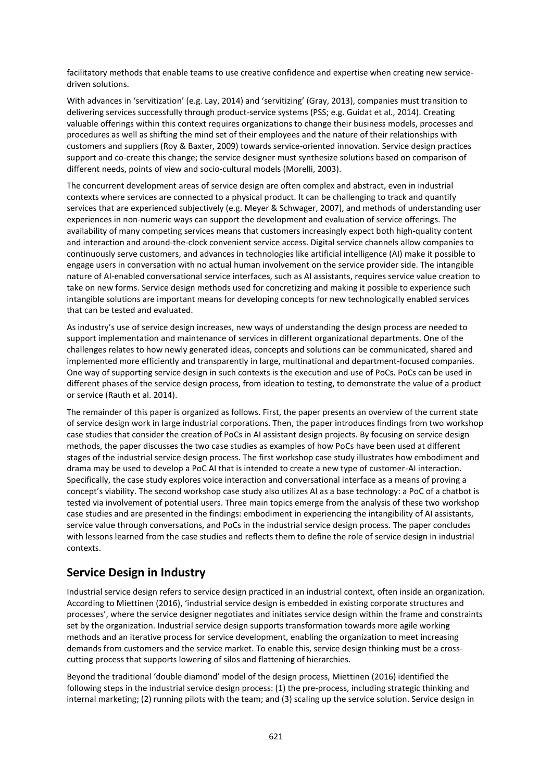facilitatory methods that enable teams to use creative confidence and expertise when creating new servicedriven solutions.

With advances in 'servitization' (e.g. Lay, 2014) and 'servitizing' (Gray, 2013), companies must transition to delivering services successfully through product-service systems (PSS; e.g. Guidat et al., 2014). Creating valuable offerings within this context requires organizations to change their business models, processes and procedures as well as shifting the mind set of their employees and the nature of their relationships with customers and suppliers (Roy & Baxter, 2009) towards service-oriented innovation. Service design practices support and co-create this change; the service designer must synthesize solutions based on comparison of different needs, points of view and socio-cultural models (Morelli, 2003).

The concurrent development areas of service design are often complex and abstract, even in industrial contexts where services are connected to a physical product. It can be challenging to track and quantify services that are experienced subjectively (e.g. Meyer & Schwager, 2007), and methods of understanding user experiences in non-numeric ways can support the development and evaluation of service offerings. The availability of many competing services means that customers increasingly expect both high-quality content and interaction and around-the-clock convenient service access. Digital service channels allow companies to continuously serve customers, and advances in technologies like artificial intelligence (AI) make it possible to engage users in conversation with no actual human involvement on the service provider side. The intangible nature of AI-enabled conversational service interfaces, such as AI assistants, requires service value creation to take on new forms. Service design methods used for concretizing and making it possible to experience such intangible solutions are important means for developing concepts for new technologically enabled services that can be tested and evaluated.

As industry's use of service design increases, new ways of understanding the design process are needed to support implementation and maintenance of services in different organizational departments. One of the challenges relates to how newly generated ideas, concepts and solutions can be communicated, shared and implemented more efficiently and transparently in large, multinational and department-focused companies. One way of supporting service design in such contexts is the execution and use of PoCs. PoCs can be used in different phases of the service design process, from ideation to testing, to demonstrate the value of a product or service (Rauth et al. 2014).

The remainder of this paper is organized as follows. First, the paper presents an overview of the current state of service design work in large industrial corporations. Then, the paper introduces findings from two workshop case studies that consider the creation of PoCs in AI assistant design projects. By focusing on service design methods, the paper discusses the two case studies as examples of how PoCs have been used at different stages of the industrial service design process. The first workshop case study illustrates how embodiment and drama may be used to develop a PoC AI that is intended to create a new type of customer-AI interaction. Specifically, the case study explores voice interaction and conversational interface as a means of proving a concept's viability. The second workshop case study also utilizes AI as a base technology: a PoC of a chatbot is tested via involvement of potential users. Three main topics emerge from the analysis of these two workshop case studies and are presented in the findings: embodiment in experiencing the intangibility of AI assistants, service value through conversations, and PoCs in the industrial service design process. The paper concludes with lessons learned from the case studies and reflects them to define the role of service design in industrial contexts.

## **Service Design in Industry**

Industrial service design refers to service design practiced in an industrial context, often inside an organization. According to Miettinen (2016), 'industrial service design is embedded in existing corporate structures and processes', where the service designer negotiates and initiates service design within the frame and constraints set by the organization. Industrial service design supports transformation towards more agile working methods and an iterative process for service development, enabling the organization to meet increasing demands from customers and the service market. To enable this, service design thinking must be a crosscutting process that supports lowering of silos and flattening of hierarchies.

Beyond the traditional 'double diamond' model of the design process, Miettinen (2016) identified the following steps in the industrial service design process: (1) the pre-process, including strategic thinking and internal marketing; (2) running pilots with the team; and (3) scaling up the service solution. Service design in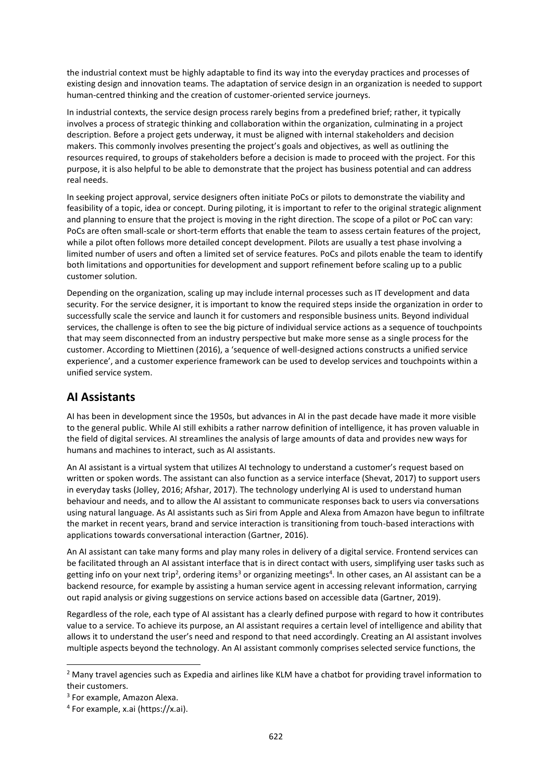the industrial context must be highly adaptable to find its way into the everyday practices and processes of existing design and innovation teams. The adaptation of service design in an organization is needed to support human-centred thinking and the creation of customer-oriented service journeys.

In industrial contexts, the service design process rarely begins from a predefined brief; rather, it typically involves a process of strategic thinking and collaboration within the organization, culminating in a project description. Before a project gets underway, it must be aligned with internal stakeholders and decision makers. This commonly involves presenting the project's goals and objectives, as well as outlining the resources required, to groups of stakeholders before a decision is made to proceed with the project. For this purpose, it is also helpful to be able to demonstrate that the project has business potential and can address real needs.

In seeking project approval, service designers often initiate PoCs or pilots to demonstrate the viability and feasibility of a topic, idea or concept. During piloting, it is important to refer to the original strategic alignment and planning to ensure that the project is moving in the right direction. The scope of a pilot or PoC can vary: PoCs are often small-scale or short-term efforts that enable the team to assess certain features of the project, while a pilot often follows more detailed concept development. Pilots are usually a test phase involving a limited number of users and often a limited set of service features. PoCs and pilots enable the team to identify both limitations and opportunities for development and support refinement before scaling up to a public customer solution.

Depending on the organization, scaling up may include internal processes such as IT development and data security. For the service designer, it is important to know the required steps inside the organization in order to successfully scale the service and launch it for customers and responsible business units. Beyond individual services, the challenge is often to see the big picture of individual service actions as a sequence of touchpoints that may seem disconnected from an industry perspective but make more sense as a single process for the customer. According to Miettinen (2016), a 'sequence of well-designed actions constructs a unified service experience', and a customer experience framework can be used to develop services and touchpoints within a unified service system.

## **AI Assistants**

AI has been in development since the 1950s, but advances in AI in the past decade have made it more visible to the general public. While AI still exhibits a rather narrow definition of intelligence, it has proven valuable in the field of digital services. AI streamlines the analysis of large amounts of data and provides new ways for humans and machines to interact, such as AI assistants.

An AI assistant is a virtual system that utilizes AI technology to understand a customer's request based on written or spoken words. The assistant can also function as a service interface (Shevat, 2017) to support users in everyday tasks (Jolley, 2016; Afshar, 2017). The technology underlying AI is used to understand human behaviour and needs, and to allow the AI assistant to communicate responses back to users via conversations using natural language. As AI assistants such as Siri from Apple and Alexa from Amazon have begun to infiltrate the market in recent years, brand and service interaction is transitioning from touch-based interactions with applications towards conversational interaction (Gartner, 2016).

An AI assistant can take many forms and play many roles in delivery of a digital service. Frontend services can be facilitated through an AI assistant interface that is in direct contact with users, simplifying user tasks such as getting info on your next trip<sup>2</sup>, ordering items<sup>3</sup> or organizing meetings<sup>4</sup>. In other cases, an AI assistant can be a backend resource, for example by assisting a human service agent in accessing relevant information, carrying out rapid analysis or giving suggestions on service actions based on accessible data (Gartner, 2019).

Regardless of the role, each type of AI assistant has a clearly defined purpose with regard to how it contributes value to a service. To achieve its purpose, an AI assistant requires a certain level of intelligence and ability that allows it to understand the user's need and respond to that need accordingly. Creating an AI assistant involves multiple aspects beyond the technology. An AI assistant commonly comprises selected service functions, the

 $\overline{a}$ 

<sup>2</sup> Many travel agencies such as Expedia and airlines like KLM have a chatbot for providing travel information to their customers.

<sup>&</sup>lt;sup>3</sup> For example, Amazon Alexa.

<sup>4</sup> For example, x.ai (https://x.ai).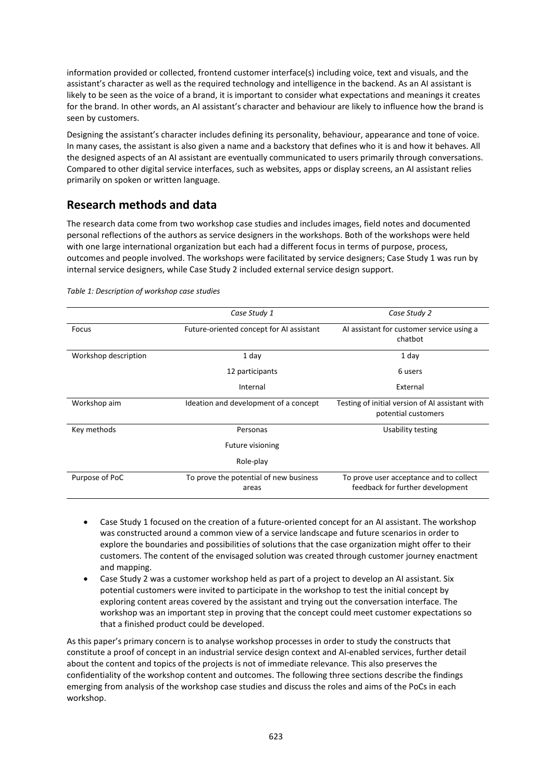information provided or collected, frontend customer interface(s) including voice, text and visuals, and the assistant's character as well as the required technology and intelligence in the backend. As an AI assistant is likely to be seen as the voice of a brand, it is important to consider what expectations and meanings it creates for the brand. In other words, an AI assistant's character and behaviour are likely to influence how the brand is seen by customers.

Designing the assistant's character includes defining its personality, behaviour, appearance and tone of voice. In many cases, the assistant is also given a name and a backstory that defines who it is and how it behaves. All the designed aspects of an AI assistant are eventually communicated to users primarily through conversations. Compared to other digital service interfaces, such as websites, apps or display screens, an AI assistant relies primarily on spoken or written language.

## **Research methods and data**

The research data come from two workshop case studies and includes images, field notes and documented personal reflections of the authors as service designers in the workshops. Both of the workshops were held with one large international organization but each had a different focus in terms of purpose, process, outcomes and people involved. The workshops were facilitated by service designers; Case Study 1 was run by internal service designers, while Case Study 2 included external service design support.

|                      | Case Study 1                                    | Case Study 2                                                                |
|----------------------|-------------------------------------------------|-----------------------------------------------------------------------------|
| Focus                | Future-oriented concept for AI assistant        | Al assistant for customer service using a<br>chatbot                        |
| Workshop description | 1 day                                           | 1 day                                                                       |
|                      | 12 participants                                 | 6 users                                                                     |
|                      | Internal                                        | External                                                                    |
| Workshop aim         | Ideation and development of a concept           | Testing of initial version of AI assistant with<br>potential customers      |
| Key methods          | Personas                                        | Usability testing                                                           |
|                      | Future visioning                                |                                                                             |
|                      | Role-play                                       |                                                                             |
| Purpose of PoC       | To prove the potential of new business<br>areas | To prove user acceptance and to collect<br>feedback for further development |

*Table 1: Description of workshop case studies*

- Case Study 1 focused on the creation of a future-oriented concept for an AI assistant. The workshop was constructed around a common view of a service landscape and future scenarios in order to explore the boundaries and possibilities of solutions that the case organization might offer to their customers. The content of the envisaged solution was created through customer journey enactment and mapping.
- Case Study 2 was a customer workshop held as part of a project to develop an AI assistant. Six potential customers were invited to participate in the workshop to test the initial concept by exploring content areas covered by the assistant and trying out the conversation interface. The workshop was an important step in proving that the concept could meet customer expectations so that a finished product could be developed.

As this paper's primary concern is to analyse workshop processes in order to study the constructs that constitute a proof of concept in an industrial service design context and AI-enabled services, further detail about the content and topics of the projects is not of immediate relevance. This also preserves the confidentiality of the workshop content and outcomes. The following three sections describe the findings emerging from analysis of the workshop case studies and discuss the roles and aims of the PoCs in each workshop.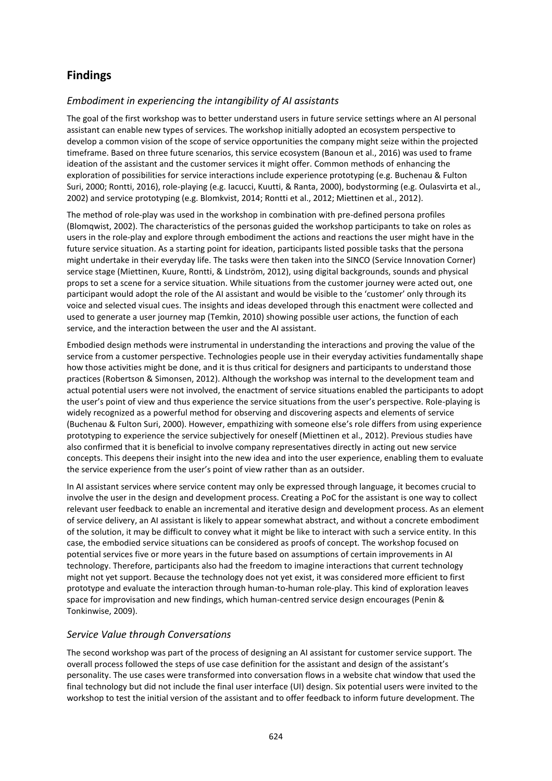## **Findings**

#### *Embodiment in experiencing the intangibility of AI assistants*

The goal of the first workshop was to better understand users in future service settings where an AI personal assistant can enable new types of services. The workshop initially adopted an ecosystem perspective to develop a common vision of the scope of service opportunities the company might seize within the projected timeframe. Based on three future scenarios, this service ecosystem (Banoun et al., 2016) was used to frame ideation of the assistant and the customer services it might offer. Common methods of enhancing the exploration of possibilities for service interactions include experience prototyping (e.g. Buchenau & Fulton Suri, 2000; Rontti, 2016), role-playing (e.g. Iacucci, Kuutti, & Ranta, 2000), bodystorming (e.g. Oulasvirta et al., 2002) and service prototyping (e.g. Blomkvist, 2014; Rontti et al., 2012; Miettinen et al., 2012).

The method of role-play was used in the workshop in combination with pre-defined persona profiles (Blomqwist, 2002). The characteristics of the personas guided the workshop participants to take on roles as users in the role-play and explore through embodiment the actions and reactions the user might have in the future service situation. As a starting point for ideation, participants listed possible tasks that the persona might undertake in their everyday life. The tasks were then taken into the SINCO (Service Innovation Corner) service stage (Miettinen, Kuure, Rontti, & Lindström, 2012), using digital backgrounds, sounds and physical props to set a scene for a service situation. While situations from the customer journey were acted out, one participant would adopt the role of the AI assistant and would be visible to the 'customer' only through its voice and selected visual cues. The insights and ideas developed through this enactment were collected and used to generate a user journey map (Temkin, 2010) showing possible user actions, the function of each service, and the interaction between the user and the AI assistant.

Embodied design methods were instrumental in understanding the interactions and proving the value of the service from a customer perspective. Technologies people use in their everyday activities fundamentally shape how those activities might be done, and it is thus critical for designers and participants to understand those practices (Robertson & Simonsen, 2012). Although the workshop was internal to the development team and actual potential users were not involved, the enactment of service situations enabled the participants to adopt the user's point of view and thus experience the service situations from the user's perspective. Role-playing is widely recognized as a powerful method for observing and discovering aspects and elements of service (Buchenau & Fulton Suri, 2000). However, empathizing with someone else's role differs from using experience prototyping to experience the service subjectively for oneself (Miettinen et al., 2012). Previous studies have also confirmed that it is beneficial to involve company representatives directly in acting out new service concepts. This deepens their insight into the new idea and into the user experience, enabling them to evaluate the service experience from the user's point of view rather than as an outsider.

In AI assistant services where service content may only be expressed through language, it becomes crucial to involve the user in the design and development process. Creating a PoC for the assistant is one way to collect relevant user feedback to enable an incremental and iterative design and development process. As an element of service delivery, an AI assistant is likely to appear somewhat abstract, and without a concrete embodiment of the solution, it may be difficult to convey what it might be like to interact with such a service entity. In this case, the embodied service situations can be considered as proofs of concept. The workshop focused on potential services five or more years in the future based on assumptions of certain improvements in AI technology. Therefore, participants also had the freedom to imagine interactions that current technology might not yet support. Because the technology does not yet exist, it was considered more efficient to first prototype and evaluate the interaction through human-to-human role-play. This kind of exploration leaves space for improvisation and new findings, which human-centred service design encourages (Penin & Tonkinwise, 2009).

#### *Service Value through Conversations*

The second workshop was part of the process of designing an AI assistant for customer service support. The overall process followed the steps of use case definition for the assistant and design of the assistant's personality. The use cases were transformed into conversation flows in a website chat window that used the final technology but did not include the final user interface (UI) design. Six potential users were invited to the workshop to test the initial version of the assistant and to offer feedback to inform future development. The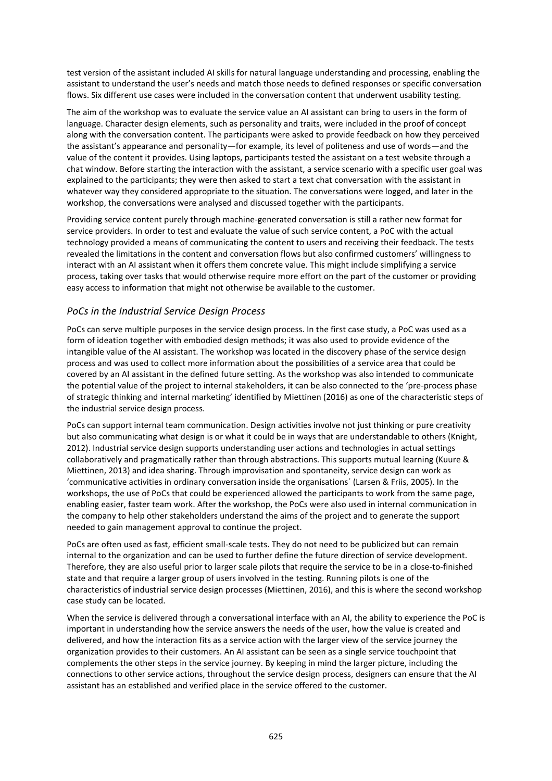test version of the assistant included AI skills for natural language understanding and processing, enabling the assistant to understand the user's needs and match those needs to defined responses or specific conversation flows. Six different use cases were included in the conversation content that underwent usability testing.

The aim of the workshop was to evaluate the service value an AI assistant can bring to users in the form of language. Character design elements, such as personality and traits, were included in the proof of concept along with the conversation content. The participants were asked to provide feedback on how they perceived the assistant's appearance and personality—for example, its level of politeness and use of words—and the value of the content it provides. Using laptops, participants tested the assistant on a test website through a chat window. Before starting the interaction with the assistant, a service scenario with a specific user goal was explained to the participants; they were then asked to start a text chat conversation with the assistant in whatever way they considered appropriate to the situation. The conversations were logged, and later in the workshop, the conversations were analysed and discussed together with the participants.

Providing service content purely through machine-generated conversation is still a rather new format for service providers. In order to test and evaluate the value of such service content, a PoC with the actual technology provided a means of communicating the content to users and receiving their feedback. The tests revealed the limitations in the content and conversation flows but also confirmed customers' willingness to interact with an AI assistant when it offers them concrete value. This might include simplifying a service process, taking over tasks that would otherwise require more effort on the part of the customer or providing easy access to information that might not otherwise be available to the customer.

#### *PoCs in the Industrial Service Design Process*

PoCs can serve multiple purposes in the service design process. In the first case study, a PoC was used as a form of ideation together with embodied design methods; it was also used to provide evidence of the intangible value of the AI assistant. The workshop was located in the discovery phase of the service design process and was used to collect more information about the possibilities of a service area that could be covered by an AI assistant in the defined future setting. As the workshop was also intended to communicate the potential value of the project to internal stakeholders, it can be also connected to the 'pre-process phase of strategic thinking and internal marketing' identified by Miettinen (2016) as one of the characteristic steps of the industrial service design process.

PoCs can support internal team communication. Design activities involve not just thinking or pure creativity but also communicating what design is or what it could be in ways that are understandable to others (Knight, 2012). Industrial service design supports understanding user actions and technologies in actual settings collaboratively and pragmatically rather than through abstractions. This supports mutual learning (Kuure & Miettinen, 2013) and idea sharing. Through improvisation and spontaneity, service design can work as 'communicative activities in ordinary conversation inside the organisations´ (Larsen & Friis, 2005). In the workshops, the use of PoCs that could be experienced allowed the participants to work from the same page, enabling easier, faster team work. After the workshop, the PoCs were also used in internal communication in the company to help other stakeholders understand the aims of the project and to generate the support needed to gain management approval to continue the project.

PoCs are often used as fast, efficient small-scale tests. They do not need to be publicized but can remain internal to the organization and can be used to further define the future direction of service development. Therefore, they are also useful prior to larger scale pilots that require the service to be in a close-to-finished state and that require a larger group of users involved in the testing. Running pilots is one of the characteristics of industrial service design processes (Miettinen, 2016), and this is where the second workshop case study can be located.

When the service is delivered through a conversational interface with an AI, the ability to experience the PoC is important in understanding how the service answers the needs of the user, how the value is created and delivered, and how the interaction fits as a service action with the larger view of the service journey the organization provides to their customers. An AI assistant can be seen as a single service touchpoint that complements the other steps in the service journey. By keeping in mind the larger picture, including the connections to other service actions, throughout the service design process, designers can ensure that the AI assistant has an established and verified place in the service offered to the customer.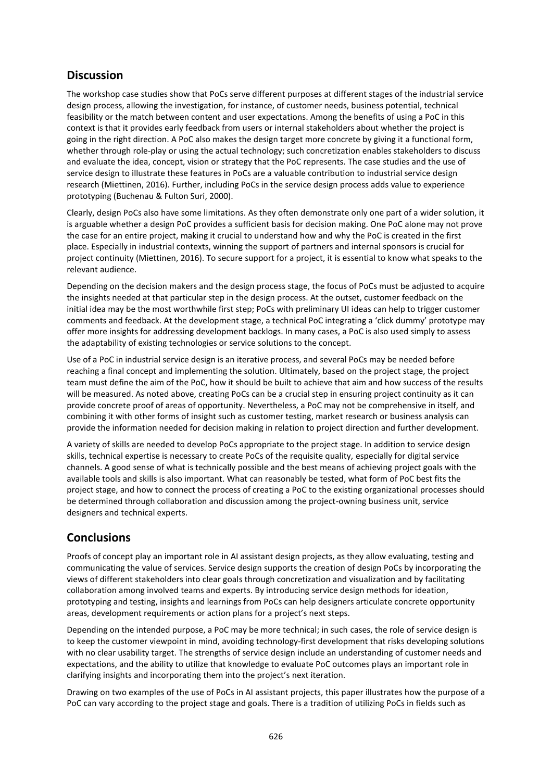## **Discussion**

The workshop case studies show that PoCs serve different purposes at different stages of the industrial service design process, allowing the investigation, for instance, of customer needs, business potential, technical feasibility or the match between content and user expectations. Among the benefits of using a PoC in this context is that it provides early feedback from users or internal stakeholders about whether the project is going in the right direction. A PoC also makes the design target more concrete by giving it a functional form, whether through role-play or using the actual technology; such concretization enables stakeholders to discuss and evaluate the idea, concept, vision or strategy that the PoC represents. The case studies and the use of service design to illustrate these features in PoCs are a valuable contribution to industrial service design research (Miettinen, 2016). Further, including PoCs in the service design process adds value to experience prototyping (Buchenau & Fulton Suri, 2000).

Clearly, design PoCs also have some limitations. As they often demonstrate only one part of a wider solution, it is arguable whether a design PoC provides a sufficient basis for decision making. One PoC alone may not prove the case for an entire project, making it crucial to understand how and why the PoC is created in the first place. Especially in industrial contexts, winning the support of partners and internal sponsors is crucial for project continuity (Miettinen, 2016). To secure support for a project, it is essential to know what speaks to the relevant audience.

Depending on the decision makers and the design process stage, the focus of PoCs must be adjusted to acquire the insights needed at that particular step in the design process. At the outset, customer feedback on the initial idea may be the most worthwhile first step; PoCs with preliminary UI ideas can help to trigger customer comments and feedback. At the development stage, a technical PoC integrating a 'click dummy' prototype may offer more insights for addressing development backlogs. In many cases, a PoC is also used simply to assess the adaptability of existing technologies or service solutions to the concept.

Use of a PoC in industrial service design is an iterative process, and several PoCs may be needed before reaching a final concept and implementing the solution. Ultimately, based on the project stage, the project team must define the aim of the PoC, how it should be built to achieve that aim and how success of the results will be measured. As noted above, creating PoCs can be a crucial step in ensuring project continuity as it can provide concrete proof of areas of opportunity. Nevertheless, a PoC may not be comprehensive in itself, and combining it with other forms of insight such as customer testing, market research or business analysis can provide the information needed for decision making in relation to project direction and further development.

A variety of skills are needed to develop PoCs appropriate to the project stage. In addition to service design skills, technical expertise is necessary to create PoCs of the requisite quality, especially for digital service channels. A good sense of what is technically possible and the best means of achieving project goals with the available tools and skills is also important. What can reasonably be tested, what form of PoC best fits the project stage, and how to connect the process of creating a PoC to the existing organizational processes should be determined through collaboration and discussion among the project-owning business unit, service designers and technical experts.

## **Conclusions**

Proofs of concept play an important role in AI assistant design projects, as they allow evaluating, testing and communicating the value of services. Service design supports the creation of design PoCs by incorporating the views of different stakeholders into clear goals through concretization and visualization and by facilitating collaboration among involved teams and experts. By introducing service design methods for ideation, prototyping and testing, insights and learnings from PoCs can help designers articulate concrete opportunity areas, development requirements or action plans for a project's next steps.

Depending on the intended purpose, a PoC may be more technical; in such cases, the role of service design is to keep the customer viewpoint in mind, avoiding technology-first development that risks developing solutions with no clear usability target. The strengths of service design include an understanding of customer needs and expectations, and the ability to utilize that knowledge to evaluate PoC outcomes plays an important role in clarifying insights and incorporating them into the project's next iteration.

Drawing on two examples of the use of PoCs in AI assistant projects, this paper illustrates how the purpose of a PoC can vary according to the project stage and goals. There is a tradition of utilizing PoCs in fields such as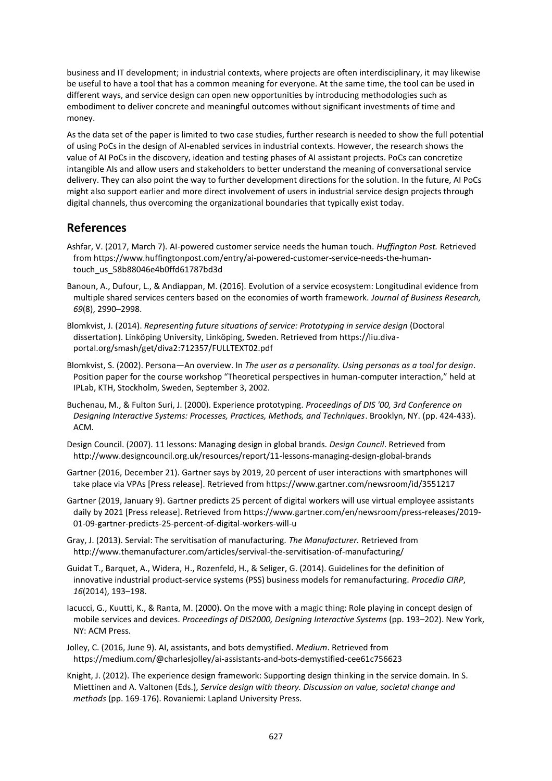business and IT development; in industrial contexts, where projects are often interdisciplinary, it may likewise be useful to have a tool that has a common meaning for everyone. At the same time, the tool can be used in different ways, and service design can open new opportunities by introducing methodologies such as embodiment to deliver concrete and meaningful outcomes without significant investments of time and money.

As the data set of the paper is limited to two case studies, further research is needed to show the full potential of using PoCs in the design of AI-enabled services in industrial contexts. However, the research shows the value of AI PoCs in the discovery, ideation and testing phases of AI assistant projects. PoCs can concretize intangible AIs and allow users and stakeholders to better understand the meaning of conversational service delivery. They can also point the way to further development directions for the solution. In the future, AI PoCs might also support earlier and more direct involvement of users in industrial service design projects through digital channels, thus overcoming the organizational boundaries that typically exist today.

## **References**

- Ashfar, V. (2017, March 7). AI-powered customer service needs the human touch. *Huffington Post.* Retrieved from https://www.huffingtonpost.com/entry/ai-powered-customer-service-needs-the-humantouch\_us\_58b88046e4b0ffd61787bd3d
- Banoun, A., Dufour, L., & Andiappan, M. (2016). Evolution of a service ecosystem: Longitudinal evidence from multiple shared services centers based on the economies of worth framework. *Journal of Business Research, 69*(8), 2990–2998.
- Blomkvist, J. (2014). *Representing future situations of service: Prototyping in service design* (Doctoral dissertation). Linköping University, Linköping, Sweden. Retrieved from https://liu.divaportal.org/smash/get/diva2:712357/FULLTEXT02.pdf
- Blomkvist, S. (2002). Persona—An overview. In *The user as a personality. Using personas as a tool for design*. Position paper for the course workshop "Theoretical perspectives in human-computer interaction," held at IPLab, KTH, Stockholm, Sweden, September 3, 2002.
- Buchenau, M., & Fulton Suri, J. (2000). Experience prototyping. *Proceedings of DIS '00, 3rd Conference on Designing Interactive Systems: Processes, Practices, Methods, and Techniques*. Brooklyn, NY. (pp. 424-433). ACM.
- Design Council. (2007). 11 lessons: Managing design in global brands. *Design Council*. Retrieved from http://www.designcouncil.org.uk/resources/report/11-lessons-managing-design-global-brands
- Gartner (2016, December 21). Gartner says by 2019, 20 percent of user interactions with smartphones will take place via VPAs [Press release]. Retrieved from https://www.gartner.com/newsroom/id/3551217
- Gartner (2019, January 9). Gartner predicts 25 percent of digital workers will use virtual employee assistants daily by 2021 [Press release]. Retrieved from https://www.gartner.com/en/newsroom/press-releases/2019- 01-09-gartner-predicts-25-percent-of-digital-workers-will-u
- Gray, J. (2013). Servial: The servitisation of manufacturing. *The Manufacturer.* Retrieved from http://www.themanufacturer.com/articles/servival-the-servitisation-of-manufacturing/
- Guidat T., Barquet, A., Widera, H., Rozenfeld, H., & Seliger, G. (2014). Guidelines for the definition of innovative industrial product-service systems (PSS) business models for remanufacturing. *Procedia CIRP*, *16*(2014), 193–198.
- Iacucci, G., Kuutti, K., & Ranta, M. (2000). On the move with a magic thing: Role playing in concept design of mobile services and devices. *Proceedings of DIS2000, Designing Interactive Systems* (pp. 193–202). New York, NY: ACM Press.
- Jolley, C. (2016, June 9). AI, assistants, and bots demystified. *Medium*. Retrieved from https://medium.com/@charlesjolley/ai-assistants-and-bots-demystified-cee61c756623
- Knight, J. (2012). The experience design framework: Supporting design thinking in the service domain. In S. Miettinen and A. Valtonen (Eds.), *Service design with theory. Discussion on value, societal change and methods* (pp. 169-176). Rovaniemi: Lapland University Press.